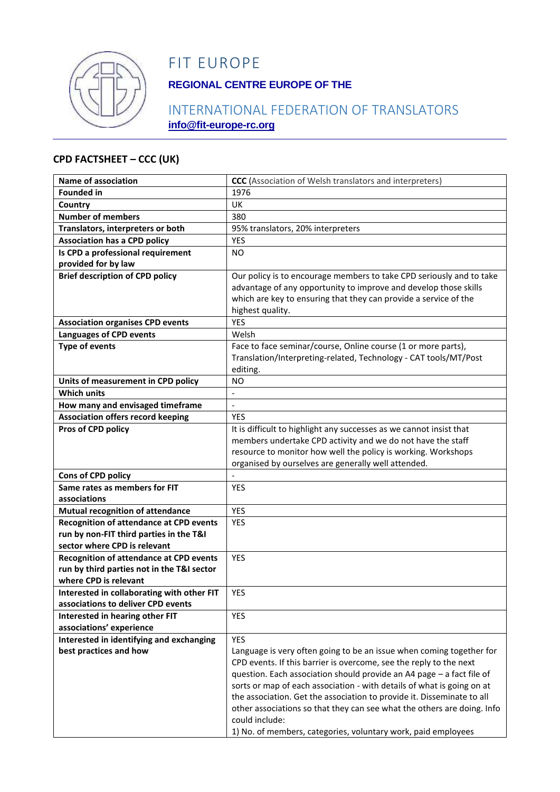

# FIT EUROPE

## **REGIONAL CENTRE EUROPE OF THE**

## INTERNATIONAL FEDERATION OF TRANSLATORS **info@fit-europe-rc.org**

#### **CPD FACTSHEET – CCC (UK)**

| Name of association                                                                | <b>CCC</b> (Association of Welsh translators and interpreters)          |
|------------------------------------------------------------------------------------|-------------------------------------------------------------------------|
| <b>Founded in</b>                                                                  | 1976                                                                    |
| Country                                                                            | UK                                                                      |
| <b>Number of members</b>                                                           | 380                                                                     |
| Translators, interpreters or both                                                  | 95% translators, 20% interpreters                                       |
| <b>Association has a CPD policy</b>                                                | YES                                                                     |
| Is CPD a professional requirement                                                  | NO                                                                      |
| provided for by law                                                                |                                                                         |
| <b>Brief description of CPD policy</b>                                             | Our policy is to encourage members to take CPD seriously and to take    |
|                                                                                    | advantage of any opportunity to improve and develop those skills        |
|                                                                                    | which are key to ensuring that they can provide a service of the        |
|                                                                                    | highest quality.                                                        |
| <b>Association organises CPD events</b>                                            | <b>YES</b>                                                              |
| <b>Languages of CPD events</b>                                                     | Welsh                                                                   |
| <b>Type of events</b>                                                              | Face to face seminar/course, Online course (1 or more parts),           |
|                                                                                    | Translation/Interpreting-related, Technology - CAT tools/MT/Post        |
|                                                                                    | editing.                                                                |
| Units of measurement in CPD policy                                                 | NO                                                                      |
| <b>Which units</b>                                                                 |                                                                         |
| How many and envisaged timeframe                                                   | $\frac{1}{2}$                                                           |
| <b>Association offers record keeping</b>                                           | <b>YES</b>                                                              |
| Pros of CPD policy                                                                 | It is difficult to highlight any successes as we cannot insist that     |
|                                                                                    | members undertake CPD activity and we do not have the staff             |
|                                                                                    | resource to monitor how well the policy is working. Workshops           |
|                                                                                    | organised by ourselves are generally well attended.                     |
| Cons of CPD policy                                                                 |                                                                         |
| Same rates as members for FIT                                                      | <b>YES</b>                                                              |
| associations                                                                       |                                                                         |
| <b>Mutual recognition of attendance</b>                                            | <b>YES</b>                                                              |
| Recognition of attendance at CPD events<br>run by non-FIT third parties in the T&I | <b>YES</b>                                                              |
| sector where CPD is relevant                                                       |                                                                         |
| <b>Recognition of attendance at CPD events</b>                                     | <b>YES</b>                                                              |
| run by third parties not in the T&I sector                                         |                                                                         |
| where CPD is relevant                                                              |                                                                         |
| Interested in collaborating with other FIT                                         | YES                                                                     |
| associations to deliver CPD events                                                 |                                                                         |
| Interested in hearing other FIT                                                    | <b>YES</b>                                                              |
| associations' experience                                                           |                                                                         |
| Interested in identifying and exchanging                                           | <b>YES</b>                                                              |
| best practices and how                                                             | Language is very often going to be an issue when coming together for    |
|                                                                                    | CPD events. If this barrier is overcome, see the reply to the next      |
|                                                                                    | question. Each association should provide an A4 page - a fact file of   |
|                                                                                    | sorts or map of each association - with details of what is going on at  |
|                                                                                    | the association. Get the association to provide it. Disseminate to all  |
|                                                                                    | other associations so that they can see what the others are doing. Info |
|                                                                                    | could include:                                                          |
|                                                                                    | 1) No. of members, categories, voluntary work, paid employees           |